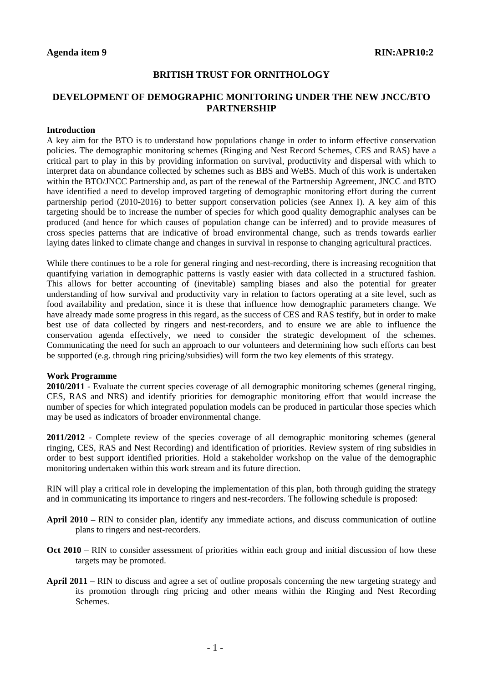## **BRITISH TRUST FOR ORNITHOLOGY**

## **DEVELOPMENT OF DEMOGRAPHIC MONITORING UNDER THE NEW JNCC/BTO PARTNERSHIP**

## **Introduction**

A key aim for the BTO is to understand how populations change in order to inform effective conservation policies. The demographic monitoring schemes (Ringing and Nest Record Schemes, CES and RAS) have a critical part to play in this by providing information on survival, productivity and dispersal with which to interpret data on abundance collected by schemes such as BBS and WeBS. Much of this work is undertaken within the BTO/JNCC Partnership and, as part of the renewal of the Partnership Agreement, JNCC and BTO have identified a need to develop improved targeting of demographic monitoring effort during the current partnership period (2010-2016) to better support conservation policies (see Annex I). A key aim of this targeting should be to increase the number of species for which good quality demographic analyses can be produced (and hence for which causes of population change can be inferred) and to provide measures of cross species patterns that are indicative of broad environmental change, such as trends towards earlier laying dates linked to climate change and changes in survival in response to changing agricultural practices.

While there continues to be a role for general ringing and nest-recording, there is increasing recognition that quantifying variation in demographic patterns is vastly easier with data collected in a structured fashion. This allows for better accounting of (inevitable) sampling biases and also the potential for greater understanding of how survival and productivity vary in relation to factors operating at a site level, such as food availability and predation, since it is these that influence how demographic parameters change. We have already made some progress in this regard, as the success of CES and RAS testify, but in order to make best use of data collected by ringers and nest-recorders, and to ensure we are able to influence the conservation agenda effectively, we need to consider the strategic development of the schemes. Communicating the need for such an approach to our volunteers and determining how such efforts can best be supported (e.g. through ring pricing/subsidies) will form the two key elements of this strategy.

## **Work Programme**

**2010/2011** - Evaluate the current species coverage of all demographic monitoring schemes (general ringing, CES, RAS and NRS) and identify priorities for demographic monitoring effort that would increase the number of species for which integrated population models can be produced in particular those species which may be used as indicators of broader environmental change.

**2011/2012** - Complete review of the species coverage of all demographic monitoring schemes (general ringing, CES, RAS and Nest Recording) and identification of priorities. Review system of ring subsidies in order to best support identified priorities. Hold a stakeholder workshop on the value of the demographic monitoring undertaken within this work stream and its future direction.

RIN will play a critical role in developing the implementation of this plan, both through guiding the strategy and in communicating its importance to ringers and nest-recorders. The following schedule is proposed:

- **April 2010** RIN to consider plan, identify any immediate actions, and discuss communication of outline plans to ringers and nest-recorders.
- **Oct 2010** RIN to consider assessment of priorities within each group and initial discussion of how these targets may be promoted.
- **April 2011** RIN to discuss and agree a set of outline proposals concerning the new targeting strategy and its promotion through ring pricing and other means within the Ringing and Nest Recording Schemes.